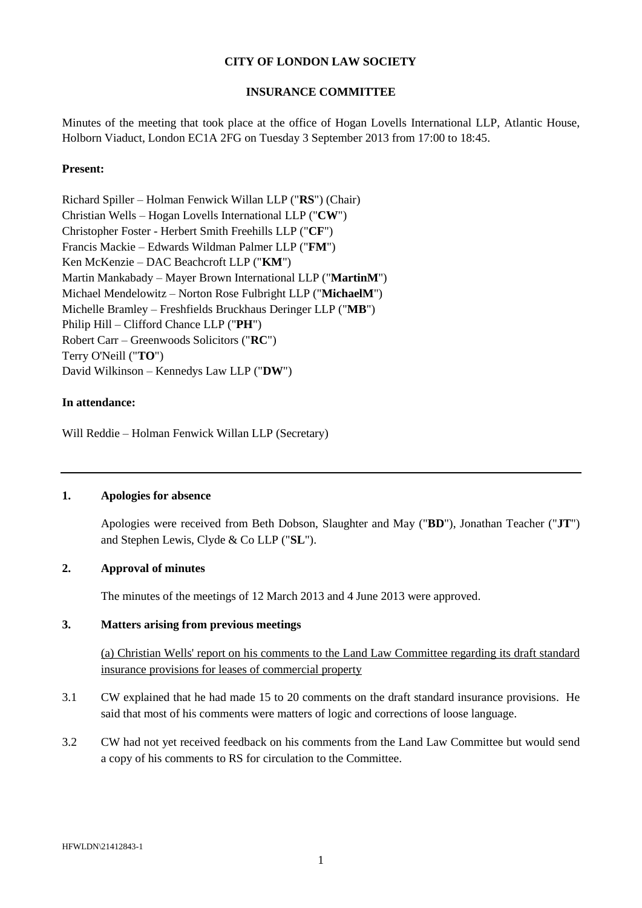## **CITY OF LONDON LAW SOCIETY**

#### **INSURANCE COMMITTEE**

Minutes of the meeting that took place at the office of Hogan Lovells International LLP, Atlantic House, Holborn Viaduct, London EC1A 2FG on Tuesday 3 September 2013 from 17:00 to 18:45.

#### **Present:**

Richard Spiller – Holman Fenwick Willan LLP ("**RS**") (Chair) Christian Wells – Hogan Lovells International LLP ("**CW**") Christopher Foster - Herbert Smith Freehills LLP ("**CF**") Francis Mackie – Edwards Wildman Palmer LLP ("**FM**") Ken McKenzie – DAC Beachcroft LLP ("**KM**") Martin Mankabady – Mayer Brown International LLP ("**MartinM**") Michael Mendelowitz – Norton Rose Fulbright LLP ("**MichaelM**") Michelle Bramley – Freshfields Bruckhaus Deringer LLP ("**MB**") Philip Hill – Clifford Chance LLP ("**PH**") Robert Carr – Greenwoods Solicitors ("**RC**") Terry O'Neill ("**TO**") David Wilkinson – Kennedys Law LLP ("**DW**")

#### **In attendance:**

Will Reddie – Holman Fenwick Willan LLP (Secretary)

## **1. Apologies for absence**

Apologies were received from Beth Dobson, Slaughter and May ("**BD**"), Jonathan Teacher ("**JT**") and Stephen Lewis, Clyde & Co LLP ("**SL**").

## **2. Approval of minutes**

The minutes of the meetings of 12 March 2013 and 4 June 2013 were approved.

#### **3. Matters arising from previous meetings**

(a) Christian Wells' report on his comments to the Land Law Committee regarding its draft standard insurance provisions for leases of commercial property

- 3.1 CW explained that he had made 15 to 20 comments on the draft standard insurance provisions. He said that most of his comments were matters of logic and corrections of loose language.
- 3.2 CW had not yet received feedback on his comments from the Land Law Committee but would send a copy of his comments to RS for circulation to the Committee.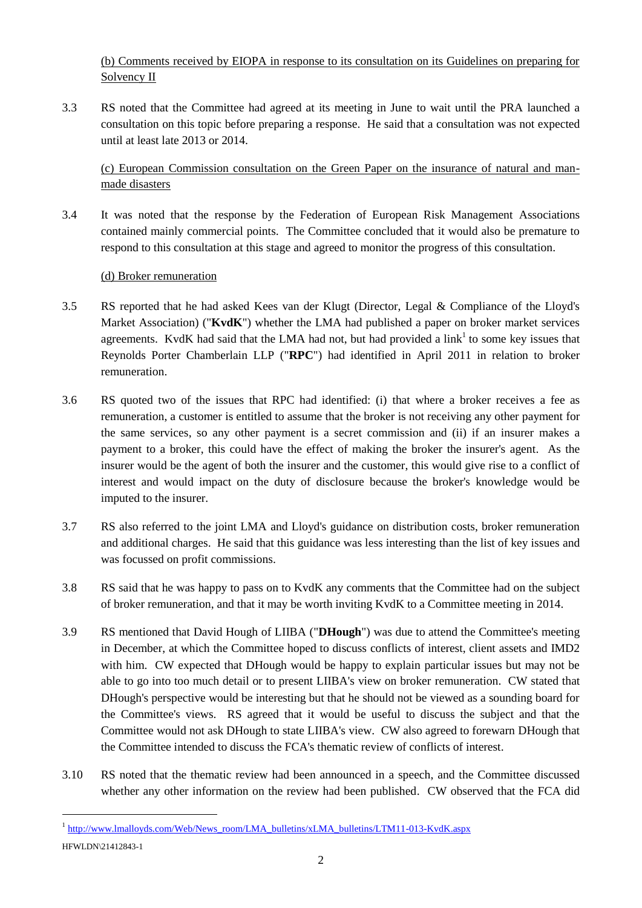(b) Comments received by EIOPA in response to its consultation on its Guidelines on preparing for Solvency II

3.3 RS noted that the Committee had agreed at its meeting in June to wait until the PRA launched a consultation on this topic before preparing a response. He said that a consultation was not expected until at least late 2013 or 2014.

(c) European Commission consultation on the Green Paper on the insurance of natural and manmade disasters

3.4 It was noted that the response by the Federation of European Risk Management Associations contained mainly commercial points. The Committee concluded that it would also be premature to respond to this consultation at this stage and agreed to monitor the progress of this consultation.

## (d) Broker remuneration

l

- 3.5 RS reported that he had asked Kees van der Klugt (Director, Legal & Compliance of the Lloyd's Market Association) ("**KvdK**") whether the LMA had published a paper on broker market services agreements. KvdK had said that the LMA had not, but had provided a  $link<sup>1</sup>$  to some key issues that Reynolds Porter Chamberlain LLP ("**RPC**") had identified in April 2011 in relation to broker remuneration.
- 3.6 RS quoted two of the issues that RPC had identified: (i) that where a broker receives a fee as remuneration, a customer is entitled to assume that the broker is not receiving any other payment for the same services, so any other payment is a secret commission and (ii) if an insurer makes a payment to a broker, this could have the effect of making the broker the insurer's agent. As the insurer would be the agent of both the insurer and the customer, this would give rise to a conflict of interest and would impact on the duty of disclosure because the broker's knowledge would be imputed to the insurer.
- 3.7 RS also referred to the joint LMA and Lloyd's guidance on distribution costs, broker remuneration and additional charges. He said that this guidance was less interesting than the list of key issues and was focussed on profit commissions.
- 3.8 RS said that he was happy to pass on to KvdK any comments that the Committee had on the subject of broker remuneration, and that it may be worth inviting KvdK to a Committee meeting in 2014.
- <span id="page-1-0"></span>3.9 RS mentioned that David Hough of LIIBA ("**DHough**") was due to attend the Committee's meeting in December, at which the Committee hoped to discuss conflicts of interest, client assets and IMD2 with him. CW expected that DHough would be happy to explain particular issues but may not be able to go into too much detail or to present LIIBA's view on broker remuneration. CW stated that DHough's perspective would be interesting but that he should not be viewed as a sounding board for the Committee's views. RS agreed that it would be useful to discuss the subject and that the Committee would not ask DHough to state LIIBA's view. CW also agreed to forewarn DHough that the Committee intended to discuss the FCA's thematic review of conflicts of interest.
- <span id="page-1-1"></span>3.10 RS noted that the thematic review had been announced in a speech, and the Committee discussed whether any other information on the review had been published. CW observed that the FCA did

HFWLDN\21412843-1 <sup>1</sup> [http://www.lmalloyds.com/Web/News\\_room/LMA\\_bulletins/xLMA\\_bulletins/LTM11-013-KvdK.aspx](http://www.lmalloyds.com/Web/News_room/LMA_bulletins/xLMA_bulletins/LTM11-013-KvdK.aspx)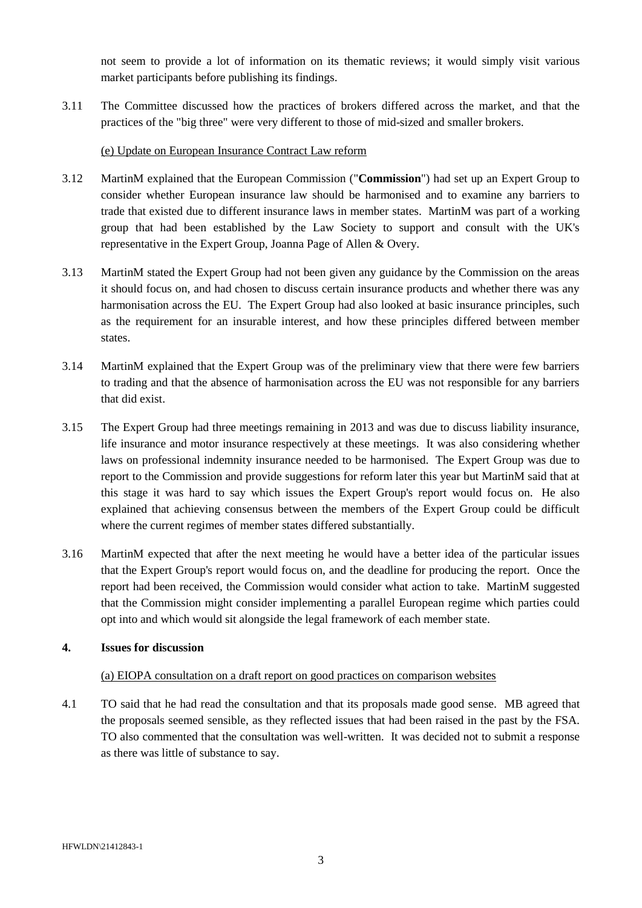not seem to provide a lot of information on its thematic reviews; it would simply visit various market participants before publishing its findings.

3.11 The Committee discussed how the practices of brokers differed across the market, and that the practices of the "big three" were very different to those of mid-sized and smaller brokers.

#### (e) Update on European Insurance Contract Law reform

- 3.12 MartinM explained that the European Commission ("**Commission**") had set up an Expert Group to consider whether European insurance law should be harmonised and to examine any barriers to trade that existed due to different insurance laws in member states. MartinM was part of a working group that had been established by the Law Society to support and consult with the UK's representative in the Expert Group, Joanna Page of Allen & Overy.
- 3.13 MartinM stated the Expert Group had not been given any guidance by the Commission on the areas it should focus on, and had chosen to discuss certain insurance products and whether there was any harmonisation across the EU. The Expert Group had also looked at basic insurance principles, such as the requirement for an insurable interest, and how these principles differed between member states.
- 3.14 MartinM explained that the Expert Group was of the preliminary view that there were few barriers to trading and that the absence of harmonisation across the EU was not responsible for any barriers that did exist.
- 3.15 The Expert Group had three meetings remaining in 2013 and was due to discuss liability insurance, life insurance and motor insurance respectively at these meetings. It was also considering whether laws on professional indemnity insurance needed to be harmonised. The Expert Group was due to report to the Commission and provide suggestions for reform later this year but MartinM said that at this stage it was hard to say which issues the Expert Group's report would focus on. He also explained that achieving consensus between the members of the Expert Group could be difficult where the current regimes of member states differed substantially.
- 3.16 MartinM expected that after the next meeting he would have a better idea of the particular issues that the Expert Group's report would focus on, and the deadline for producing the report. Once the report had been received, the Commission would consider what action to take. MartinM suggested that the Commission might consider implementing a parallel European regime which parties could opt into and which would sit alongside the legal framework of each member state.

## **4. Issues for discussion**

#### (a) EIOPA consultation on a draft report on good practices on comparison websites

4.1 TO said that he had read the consultation and that its proposals made good sense. MB agreed that the proposals seemed sensible, as they reflected issues that had been raised in the past by the FSA. TO also commented that the consultation was well-written. It was decided not to submit a response as there was little of substance to say.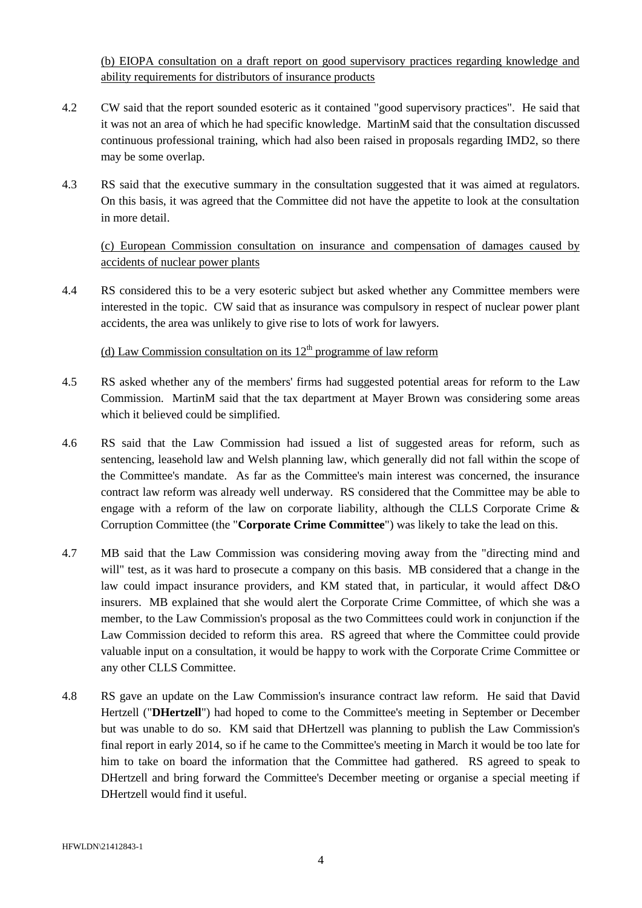(b) EIOPA consultation on a draft report on good supervisory practices regarding knowledge and ability requirements for distributors of insurance products

- 4.2 CW said that the report sounded esoteric as it contained "good supervisory practices". He said that it was not an area of which he had specific knowledge. MartinM said that the consultation discussed continuous professional training, which had also been raised in proposals regarding IMD2, so there may be some overlap.
- 4.3 RS said that the executive summary in the consultation suggested that it was aimed at regulators. On this basis, it was agreed that the Committee did not have the appetite to look at the consultation in more detail.

# (c) European Commission consultation on insurance and compensation of damages caused by accidents of nuclear power plants

4.4 RS considered this to be a very esoteric subject but asked whether any Committee members were interested in the topic. CW said that as insurance was compulsory in respect of nuclear power plant accidents, the area was unlikely to give rise to lots of work for lawyers.

# (d) Law Commission consultation on its  $12<sup>th</sup>$  programme of law reform

- 4.5 RS asked whether any of the members' firms had suggested potential areas for reform to the Law Commission. MartinM said that the tax department at Mayer Brown was considering some areas which it believed could be simplified.
- 4.6 RS said that the Law Commission had issued a list of suggested areas for reform, such as sentencing, leasehold law and Welsh planning law, which generally did not fall within the scope of the Committee's mandate. As far as the Committee's main interest was concerned, the insurance contract law reform was already well underway. RS considered that the Committee may be able to engage with a reform of the law on corporate liability, although the CLLS Corporate Crime  $\&$ Corruption Committee (the "**Corporate Crime Committee**") was likely to take the lead on this.
- 4.7 MB said that the Law Commission was considering moving away from the "directing mind and will" test, as it was hard to prosecute a company on this basis. MB considered that a change in the law could impact insurance providers, and KM stated that, in particular, it would affect D&O insurers. MB explained that she would alert the Corporate Crime Committee, of which she was a member, to the Law Commission's proposal as the two Committees could work in conjunction if the Law Commission decided to reform this area. RS agreed that where the Committee could provide valuable input on a consultation, it would be happy to work with the Corporate Crime Committee or any other CLLS Committee.
- 4.8 RS gave an update on the Law Commission's insurance contract law reform. He said that David Hertzell ("**DHertzell**") had hoped to come to the Committee's meeting in September or December but was unable to do so. KM said that DHertzell was planning to publish the Law Commission's final report in early 2014, so if he came to the Committee's meeting in March it would be too late for him to take on board the information that the Committee had gathered. RS agreed to speak to DHertzell and bring forward the Committee's December meeting or organise a special meeting if DHertzell would find it useful.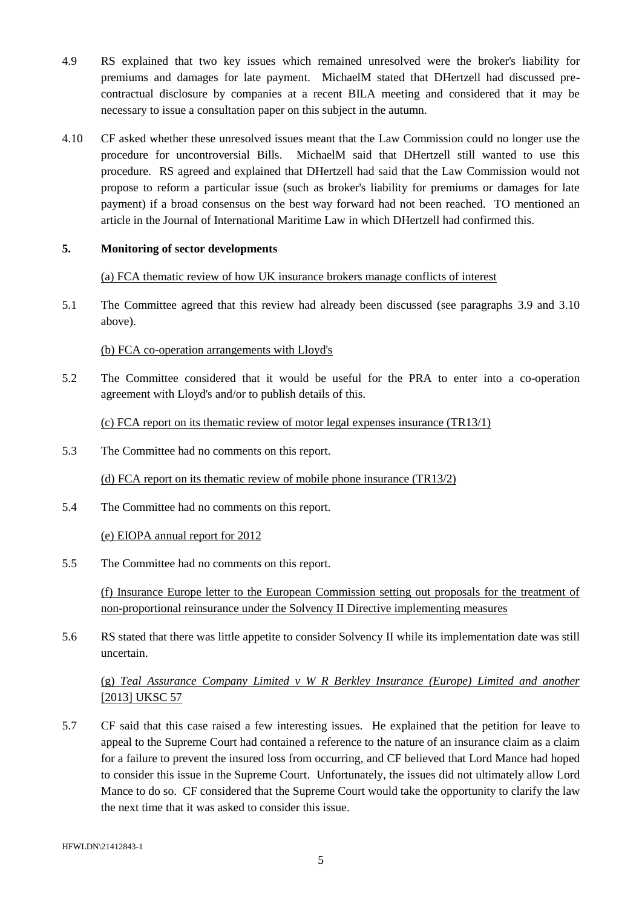- 4.9 RS explained that two key issues which remained unresolved were the broker's liability for premiums and damages for late payment. MichaelM stated that DHertzell had discussed precontractual disclosure by companies at a recent BILA meeting and considered that it may be necessary to issue a consultation paper on this subject in the autumn.
- 4.10 CF asked whether these unresolved issues meant that the Law Commission could no longer use the procedure for uncontroversial Bills. MichaelM said that DHertzell still wanted to use this procedure. RS agreed and explained that DHertzell had said that the Law Commission would not propose to reform a particular issue (such as broker's liability for premiums or damages for late payment) if a broad consensus on the best way forward had not been reached. TO mentioned an article in the Journal of International Maritime Law in which DHertzell had confirmed this.

#### **5. Monitoring of sector developments**

## (a) FCA thematic review of how UK insurance brokers manage conflicts of interest

5.1 The Committee agreed that this review had already been discussed (see paragraphs [3.9](#page-1-0) and [3.10](#page-1-1) above).

## (b) FCA co-operation arrangements with Lloyd's

5.2 The Committee considered that it would be useful for the PRA to enter into a co-operation agreement with Lloyd's and/or to publish details of this.

(c) FCA report on its thematic review of motor legal expenses insurance (TR13/1)

5.3 The Committee had no comments on this report.

(d) FCA report on its thematic review of mobile phone insurance (TR13/2)

5.4 The Committee had no comments on this report.

(e) EIOPA annual report for 2012

5.5 The Committee had no comments on this report.

(f) Insurance Europe letter to the European Commission setting out proposals for the treatment of non-proportional reinsurance under the Solvency II Directive implementing measures

5.6 RS stated that there was little appetite to consider Solvency II while its implementation date was still uncertain.

(g) *Teal Assurance Company Limited v W R Berkley Insurance (Europe) Limited and another*  [2013] UKSC 57

5.7 CF said that this case raised a few interesting issues. He explained that the petition for leave to appeal to the Supreme Court had contained a reference to the nature of an insurance claim as a claim for a failure to prevent the insured loss from occurring, and CF believed that Lord Mance had hoped to consider this issue in the Supreme Court. Unfortunately, the issues did not ultimately allow Lord Mance to do so. CF considered that the Supreme Court would take the opportunity to clarify the law the next time that it was asked to consider this issue.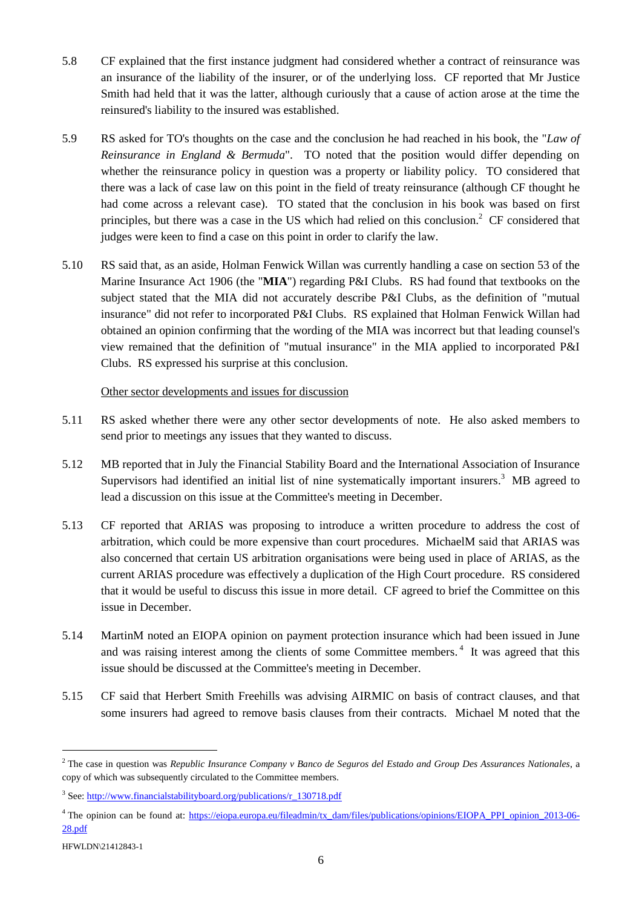- 5.8 CF explained that the first instance judgment had considered whether a contract of reinsurance was an insurance of the liability of the insurer, or of the underlying loss. CF reported that Mr Justice Smith had held that it was the latter, although curiously that a cause of action arose at the time the reinsured's liability to the insured was established.
- 5.9 RS asked for TO's thoughts on the case and the conclusion he had reached in his book, the "*Law of Reinsurance in England & Bermuda*". TO noted that the position would differ depending on whether the reinsurance policy in question was a property or liability policy. TO considered that there was a lack of case law on this point in the field of treaty reinsurance (although CF thought he had come across a relevant case). TO stated that the conclusion in his book was based on first principles, but there was a case in the US which had relied on this conclusion.<sup>2</sup> CF considered that judges were keen to find a case on this point in order to clarify the law.
- 5.10 RS said that, as an aside, Holman Fenwick Willan was currently handling a case on section 53 of the Marine Insurance Act 1906 (the "**MIA**") regarding P&I Clubs. RS had found that textbooks on the subject stated that the MIA did not accurately describe P&I Clubs, as the definition of "mutual insurance" did not refer to incorporated P&I Clubs. RS explained that Holman Fenwick Willan had obtained an opinion confirming that the wording of the MIA was incorrect but that leading counsel's view remained that the definition of "mutual insurance" in the MIA applied to incorporated P&I Clubs. RS expressed his surprise at this conclusion.

#### Other sector developments and issues for discussion

- 5.11 RS asked whether there were any other sector developments of note. He also asked members to send prior to meetings any issues that they wanted to discuss.
- 5.12 MB reported that in July the Financial Stability Board and the International Association of Insurance Supervisors had identified an initial list of nine systematically important insurers.<sup>3</sup> MB agreed to lead a discussion on this issue at the Committee's meeting in December.
- 5.13 CF reported that ARIAS was proposing to introduce a written procedure to address the cost of arbitration, which could be more expensive than court procedures. MichaelM said that ARIAS was also concerned that certain US arbitration organisations were being used in place of ARIAS, as the current ARIAS procedure was effectively a duplication of the High Court procedure. RS considered that it would be useful to discuss this issue in more detail. CF agreed to brief the Committee on this issue in December.
- 5.14 MartinM noted an EIOPA opinion on payment protection insurance which had been issued in June and was raising interest among the clients of some Committee members.<sup>4</sup> It was agreed that this issue should be discussed at the Committee's meeting in December.
- 5.15 CF said that Herbert Smith Freehills was advising AIRMIC on basis of contract clauses, and that some insurers had agreed to remove basis clauses from their contracts. Michael M noted that the

 $\overline{a}$ 

<sup>2</sup> The case in question was *Republic Insurance Company v Banco de Seguros del Estado and Group Des Assurances Nationales*, a copy of which was subsequently circulated to the Committee members.

<sup>&</sup>lt;sup>3</sup> See[: http://www.financialstabilityboard.org/publications/r\\_130718.pdf](http://www.financialstabilityboard.org/publications/r_130718.pdf)

<sup>&</sup>lt;sup>4</sup> The opinion can be found at: [https://eiopa.europa.eu/fileadmin/tx\\_dam/files/publications/opinions/EIOPA\\_PPI\\_opinion\\_2013-06-](https://eiopa.europa.eu/fileadmin/tx_dam/files/publications/opinions/EIOPA_PPI_opinion_2013-06-28.pdf) [28.pdf](https://eiopa.europa.eu/fileadmin/tx_dam/files/publications/opinions/EIOPA_PPI_opinion_2013-06-28.pdf)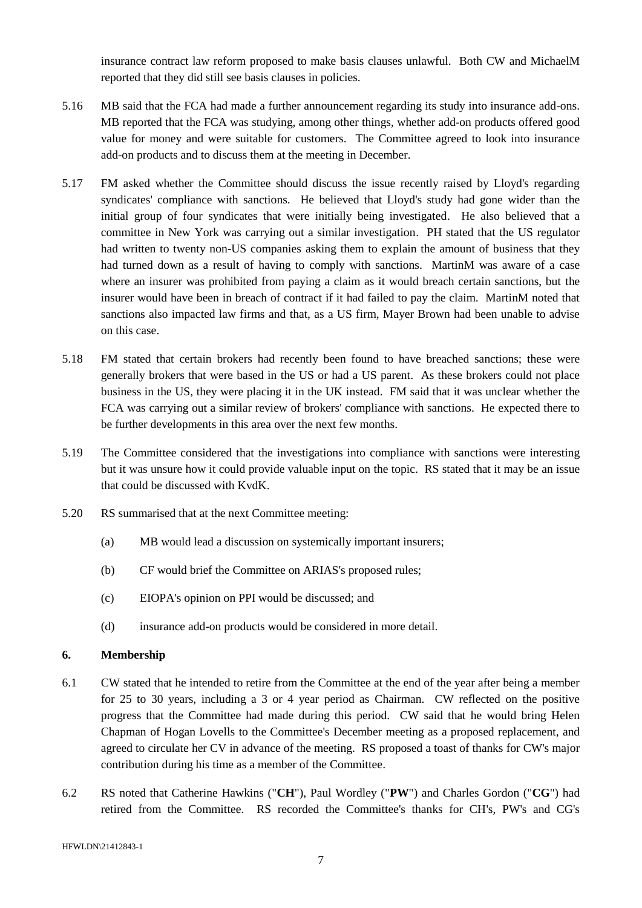insurance contract law reform proposed to make basis clauses unlawful. Both CW and MichaelM reported that they did still see basis clauses in policies.

- 5.16 MB said that the FCA had made a further announcement regarding its study into insurance add-ons. MB reported that the FCA was studying, among other things, whether add-on products offered good value for money and were suitable for customers. The Committee agreed to look into insurance add-on products and to discuss them at the meeting in December.
- 5.17 FM asked whether the Committee should discuss the issue recently raised by Lloyd's regarding syndicates' compliance with sanctions. He believed that Lloyd's study had gone wider than the initial group of four syndicates that were initially being investigated. He also believed that a committee in New York was carrying out a similar investigation. PH stated that the US regulator had written to twenty non-US companies asking them to explain the amount of business that they had turned down as a result of having to comply with sanctions. MartinM was aware of a case where an insurer was prohibited from paying a claim as it would breach certain sanctions, but the insurer would have been in breach of contract if it had failed to pay the claim. MartinM noted that sanctions also impacted law firms and that, as a US firm, Mayer Brown had been unable to advise on this case.
- 5.18 FM stated that certain brokers had recently been found to have breached sanctions; these were generally brokers that were based in the US or had a US parent. As these brokers could not place business in the US, they were placing it in the UK instead. FM said that it was unclear whether the FCA was carrying out a similar review of brokers' compliance with sanctions. He expected there to be further developments in this area over the next few months.
- 5.19 The Committee considered that the investigations into compliance with sanctions were interesting but it was unsure how it could provide valuable input on the topic. RS stated that it may be an issue that could be discussed with KvdK.
- 5.20 RS summarised that at the next Committee meeting:
	- (a) MB would lead a discussion on systemically important insurers;
	- (b) CF would brief the Committee on ARIAS's proposed rules;
	- (c) EIOPA's opinion on PPI would be discussed; and
	- (d) insurance add-on products would be considered in more detail.

## **6. Membership**

- 6.1 CW stated that he intended to retire from the Committee at the end of the year after being a member for 25 to 30 years, including a 3 or 4 year period as Chairman. CW reflected on the positive progress that the Committee had made during this period. CW said that he would bring Helen Chapman of Hogan Lovells to the Committee's December meeting as a proposed replacement, and agreed to circulate her CV in advance of the meeting. RS proposed a toast of thanks for CW's major contribution during his time as a member of the Committee.
- 6.2 RS noted that Catherine Hawkins ("**CH**"), Paul Wordley ("**PW**") and Charles Gordon ("**CG**") had retired from the Committee. RS recorded the Committee's thanks for CH's, PW's and CG's